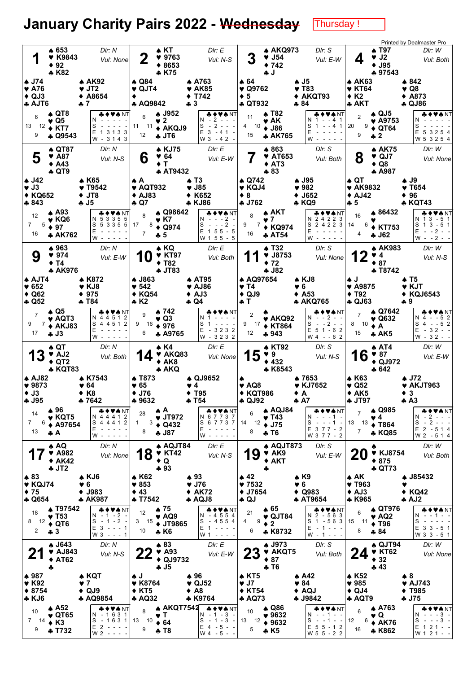## January Charity Pairs 2022 - Wednesday **Thursday!**

| 1                                                                             | ▲ 653<br><b>V</b> K9843<br>$\div$ 92<br><b>+K82</b>                         | DIr: N<br>Vul: None                                                       | $\clubsuit$ KT<br>2<br>9763<br>$*8653$<br>$*K75$                                    | DIr: E<br>Vul: N-S                                                                                                                                                    |                                                                     | <b>A AKQ973</b><br>$\blacktriangledown$ J54<br>$*742$<br>♣ J                  | DIr: S<br>Vul: E-W                                                                       | ▲ T97<br>♥ J2<br>4<br>$\blacklozenge$ J95<br>♣ 97543                                             | <b>Printed by Dealmaster Pro</b><br>DIr: W<br>Vul: Both                      |
|-------------------------------------------------------------------------------|-----------------------------------------------------------------------------|---------------------------------------------------------------------------|-------------------------------------------------------------------------------------|-----------------------------------------------------------------------------------------------------------------------------------------------------------------------|---------------------------------------------------------------------|-------------------------------------------------------------------------------|------------------------------------------------------------------------------------------|--------------------------------------------------------------------------------------------------|------------------------------------------------------------------------------|
| ▲ J74<br>$\blacktriangledown$ A76<br>$\triangle$ QJ3<br><b>AJT6</b>           |                                                                             | <b>A AK92</b><br>$\blacktriangledown$ JT2<br>$*$ A8654<br>$+7$            | ▲ Q84<br>$\blacktriangledown$ QJT4<br>٠<br><b>4 AQ9842</b>                          | <b>A A763</b><br>♥ AK85<br><b>◆ T742</b><br>$+3$                                                                                                                      | ▲ 64<br>$\blacktriangledown$ Q9762<br>$\bullet$ 5<br><b>4 QT932</b> |                                                                               | ♠ J5<br>$\blacktriangledown$ T83<br>◆ AKQT93<br>♣ 84                                     | ♠ AK63<br>♥ KT64<br>$*K2$<br>$\clubsuit$ AKT                                                     | ▲ 842<br>♥ Q8<br>$\triangle$ A873<br>$\clubsuit$ QJ86                        |
| 6<br>13<br>12<br>9                                                            | $\triangle$ QT8<br>♥ Q5<br>$\div$ KT7<br>AD 09543                           | <b>♣♦♥♠</b> NT<br>N<br>S<br>$\sim$<br>E 1 3 1 3 3<br>W - 3143             | <b>▲ J952</b><br>6<br>♥ 2<br>11 11<br>◆ AKQJ9<br>12<br>$+JT6$                       | ♣♦♥♠ NT<br>2<br>N.<br>$2 - - -$<br>S<br>$\sim$<br>$E$ 3 - 41 -<br>W 3 - 4 2 -                                                                                         | 11<br>4 10<br>15                                                    | A T82<br>♥ AK<br>$\bullet$ J86<br>* AK765                                     | ♣♦♥♠ NT<br>N<br>$1 - 41$<br>S<br>$- - 4 1$<br>1<br>Е<br>W                                | ▲ QJ5<br>$\overline{2}$<br>$\blacktriangledown$ A9753<br>9<br>20<br>$\triangle$ QT64<br>9<br>* 2 | &♦♥♠NT<br>N<br>S<br>E 5 3 2 5 4<br>W 5 3 2 5 4                               |
| 5                                                                             | ♦ QT87<br>♥ A87<br>$\triangle$ A43<br>$\clubsuit$ QT9                       | DIr: N<br>Vul: N-S                                                        | <b>4 KJ75</b><br>6<br>♥ 64<br>$+T$<br><b>A AT9432</b>                               | DIr: E<br>Vul: E-W                                                                                                                                                    |                                                                     | ▲ 863<br><b>V</b> AT653<br>$\triangle$ AT3<br>$*83$                           | DIr: S<br>Vul: Both                                                                      | <b>A AK75</b><br>8<br>$\blacktriangledown$ QJ7<br>$\triangle$ Q8<br>♣ A987                       | DIr: W<br>Vul: None                                                          |
| $\clubsuit$ J42<br>$\blacktriangledown$ J3<br>◆ KQ652<br>♣ 843                |                                                                             | <b>AK65</b><br>$\blacktriangledown$ T9542<br>♦ JT8<br>÷ J5                | АA.<br>$\blacktriangledown$ AQT932<br>$\triangle$ AJ83<br>$\clubsuit$ Q7            | ≱ Т3<br>$\blacktriangledown$ J85<br>K652<br><b>* KJ86</b>                                                                                                             | ▲ Q742<br>♥ KQJ4<br>♦ 8<br>$+ J762$                                 |                                                                               | A J95<br>982<br>$\blacklozenge$ J652<br>♣ KQ9                                            | $\clubsuit$ QT<br><b>V</b> AK9832<br>$\triangle$ AJ42<br>♣ 5                                     | A J9<br>$\blacktriangledown$ T654<br>$*96$<br><b>* KQT43</b>                 |
| 12<br>$\overline{7}$<br>5<br>16                                               | $\triangle$ A93<br>$\blacktriangledown$ KQ6<br>$\div$ 97<br><b>* AK762</b>  | <b>*◆♥♠</b> NT<br>N 5 3 3 5 5<br>S 5 3 3 5 5<br>E<br>w -                  | ▲ Q98642<br>8<br>♥ K7<br>17<br>$8 \div Q974$<br>$\overline{7}$<br>♣ 5               | VA NT<br>N - - -2 -<br>S<br>$- - - 2$<br>$\overline{\phantom{a}}$<br>$E$ 1 5 5 - 5<br>W 1 5 5 - 5                                                                     | 8<br>9<br>7<br>16                                                   | ѧ АКТ<br>$\blacktriangledown$<br>◆ KQ974<br><b>AT54</b>                       | ♣♦♥♠ NT<br>N 24223<br>2 4 2 2 3<br>S<br>Ε<br>w - - - - -                                 | ▲ 86432<br>16<br>14<br>6<br><b>◆ KT753</b><br>4<br>♣ J62                                         | VANT<br>N 13-51<br>S 1 3 - 5 1<br>$- -2$<br>Е<br>$\sim$ $\sim$<br>$W - -2 -$ |
| 9                                                                             | ▲ 963<br>♥ 974<br>♦ T4<br><b>+ AK976</b>                                    | Dir: N<br>Vul: E-W                                                        | $\clubsuit$ KQ<br>$\blacktriangledown$ KT97<br>U<br>$+T82$<br><b>4 JT83</b>         | DIr: E<br>Vul: Both                                                                                                                                                   |                                                                     | <b>AT32</b><br>9 J8753<br>$+72$<br>$-182$                                     | DIr: S<br>Vul: None                                                                      | ▲ AK983<br>♥ 4<br>$* 87$<br><b>+ T8742</b>                                                       | DIr: W<br>Vul: N-S                                                           |
| <b>AJT4</b><br>$\blacktriangledown 652$<br>$\triangle$ Q62<br>$\clubsuit$ Q52 |                                                                             | <b>4 K872</b><br>♥ KJ8<br>4975<br>♣ T84                                   | <b>↑ J863</b><br>$*542$<br>$\triangle$ KQ54<br>♣ K2                                 | <b>↑ AT95</b><br>♥ AJ86<br>$\triangle$ AJ3<br>$\clubsuit$ Q4                                                                                                          | <b>A AQ97654</b><br>♥ T4<br>$\triangle$ QJ9<br>÷ T                  | ♥6                                                                            | $\triangle$ KJ8<br>$\triangle$ A53<br><b>* AKQ765</b>                                    | ♠J<br>$*$ A9875<br>$\blacklozenge$ T92<br><b>4 QJ63</b>                                          | ♠ T5<br>♥ KJT<br>◆ KQJ6543<br>♣9                                             |
| $\overline{7}$<br>9<br>7<br>17                                                | $\bullet$ Q5<br>♥ AQT3<br>$\triangle$ AKJ83<br>$+ J3$                       | ◆♥★NT<br>N 4 4 5 1 2<br>S 4 4 5 1 2<br>E<br>$W -$                         | ♣ 742<br>9<br>♥ Q3<br>9 16<br>$*976$<br>6<br><b>A A9765</b>                         | N♦♥♠ NT<br>S<br>$E - 3232$<br>W - 3232                                                                                                                                | $\overline{2}$<br>9<br>- 17<br>12                                   | $\blacktriangledown$ AKQ92<br><b>◆ KT864</b><br>+943                          | & ♦ ♥★ NT<br>$- - 2 - -$<br>N<br>S<br>$- 2$<br>$\sim$ $-$<br>$E$ 5 1 - 6 2<br>$W 4 - 62$ | ▲ Q7642<br>$\overline{7}$<br>♥ Q632<br>8<br>10<br>♦ A<br>15<br>A K5                              | &♦♥★NT<br>$- 52$<br>N 4<br>$S_4 - 52$<br>$E - 32 - -$<br>$W - 32 - -$        |
| 13                                                                            | ♠ QT<br>$\blacktriangledown$ AJ2<br>$\triangle$ QT2<br><b>* KQT83</b>       | Dir: N<br>Vul: Both                                                       | ♠ K4<br>V AKQ83<br>$+ AK8$<br><b>+ AKQ</b>                                          | DIr: E<br>Vul: None                                                                                                                                                   | 15                                                                  | <b>A KT92</b><br>$\Psi$ 9<br>432<br>* K8543                                   | Dir: S<br>Vul: N-S                                                                       | <b>↑ AT4</b><br>16<br>$*87$<br>$\triangle$ QJ972<br>♣ 642                                        | DIr: W<br>Vul: E-W                                                           |
| <b>A AJ82</b><br>$* 9873$<br>$\bullet$ J3<br><b>4 J95</b>                     |                                                                             | ♠ K7543<br>♥ 64<br>◆ K8<br>♣ 7642                                         | <b>↑ T873</b><br>♥ 65<br>$+$ J76<br>♣ 9632                                          | ♠ QJ9652<br>♥ 4<br>$\blacklozenge$ T95<br>♣ 154                                                                                                                       | ۸<br>♥ AQ8<br><b>◆ KQT986</b><br>T GJ97≉                            | ◆ A                                                                           | ♠ 7653<br>♥ KJ7652<br>♣ A7                                                               | ♠ K63<br>$\blacktriangledown$ Q52<br>$* AK5$<br><b>A JT97</b>                                    | $\clubsuit$ J72<br>♥ AKJT963<br>$\bullet$ 3<br>A3                            |
| 14<br>$\overline{7}$<br>6<br>13                                               | ♣ 96<br>$\blacktriangledown$ KQT5<br><b>↑ A97654</b><br>÷А                  | ♣♦♥♠NT<br>N 4 4 4 1 2<br>S 4 4 4 1 2<br>E<br>$W - - - -$                  | АA.<br>28<br>$\blacktriangledown$ JT972<br>$3 \div Q432$<br>$1 \quad$<br>8<br>♣ J87 | <b>&amp;♦♥♠</b> NT<br>N 6 7 7 3 7<br>S 6 7 7 3 7<br>E<br>$W - - - -$                                                                                                  | 6<br>12<br>14<br>8                                                  | $\triangle$ AQJ84<br>$\blacktriangledown$ T43<br>$\div$ J75<br>$\clubsuit$ T6 | ♣♦♥♠NT<br>N<br>S<br>$- - - 1$<br>$\sim$<br>Е<br>$377 - 2$<br>W 3 7 7 - 2                 | A Q985<br>$\overline{7}$<br>♥ 4<br>13<br>$13$ ♦ T864<br>$\overline{7}$<br>* KQ85                 | ♣♦♥♠NT<br>$-2 - - -$<br>N.<br>$S - 2 - - -$<br>E 2 - 5 1 4<br>W 2 - 5 1 4    |
|                                                                               | ♠ AQ<br>$\blacktriangledown$ A982<br>$* AK42$<br>$+JT2$                     | DIr: N<br>Vul: None                                                       | <b>A AQJT84</b><br>18<br>$\blacktriangledown$ KT42<br>$\bullet$ Q<br>$+93$          | Dir: E<br>Vul: N-S                                                                                                                                                    | 19                                                                  | <b>A AQJT873</b><br>V AK9<br>$\triangle$ AKT<br>ф                             | Dir: S<br>Vul: E-W                                                                       | <b>V</b> KJ8754<br>$*875$<br><b>4 QT73</b>                                                       | DIr: W<br>Vul: Both                                                          |
| $*83$<br>I♥ KQJ74<br>$\bullet$ 75<br><b>4 Q654</b>                            |                                                                             | ♠ KJ6<br>♥ 6<br>J983<br><b>* AK987</b>                                    | <b>4 K62</b><br>$\blacktriangledown 853$<br>$\triangle$ 43<br><b>4 T7542</b>        | $*93$<br>$\blacktriangledown$ J76<br>$+ AK72$<br>$A\ QJ8$                                                                                                             | 42<br>$*7532$<br>$+ J7654$<br>$\clubsuit$ QJ                        | ♥ 6                                                                           | $\bullet$ K9<br>$\triangle$ Q983<br>♣ AT9654                                             | ♠ AK<br><b>V T963</b><br>AJ3<br>* K965                                                           | ♣ J85432<br>v<br>$\triangle$ KQ42<br>$\clubsuit$ AJ2                         |
| 18<br>12<br>8<br>$\overline{2}$                                               | <b>4 T97542</b><br>$\blacktriangledown$ T53<br>$\triangle$ QT6<br>♣ 3       | ♣♦♥♠NT<br>$N - 1 - 2 -$<br>$-1 - 2 -$<br>S<br>$E$ 3 - - - 1<br>$W3 - - 1$ | $\clubsuit$ 75<br>12<br>♥ AQ9<br>3<br>15<br><b>◆ JT9865</b><br>10<br>* K6           | ♣♦♥★NT<br>$-4554$<br>N<br>$-4554$<br>S<br>E 1<br>$\begin{array}{cccccccccccccc} \bullet & \bullet & \bullet & \bullet & \bullet & \bullet \end{array}$<br>W 1 - - - - | 21<br>9<br>4<br>6                                                   | $\clubsuit$ 65<br>$\blacktriangledown$ QJT84<br>$\div$ 2<br>*K8732            | <b>* ♦ ♥ ♠</b> NT<br>N 2 - 563<br>S<br>$1 - 563$<br>Е<br>-1---<br>W - 1 - - -            | <b>4 QT976</b><br>6<br>♥ AQ2<br>15<br>$11 \div 796$<br>8<br>♣ 84                                 | ┻◆♥♠NT<br>1<br>N<br>S<br>$\sim$ $-$<br>E 3 3 - 5 1<br>W 3 3 - 5 1            |
|                                                                               | $\clubsuit$ J643<br>$\blacktriangledown$ AJ843<br>$\blacklozenge$ AT62<br>4 | DIr: N<br>Vul: N-S                                                        | $*83$<br>$\blacktriangledown$ A93<br>◆ QJ9732<br>$+J5$                              | DIr: E<br>Vul: E-W                                                                                                                                                    | <b>23</b>                                                           | <b>↑ J973</b><br><b>V AKQT5</b><br>$* 87$<br>÷ T6                             | DIr: S<br>Vul: Both                                                                      | $\triangle$ QJT94<br>24<br><b>V KT62</b><br>$*32$<br>$+43$                                       | DIr: W<br>Vul: None                                                          |
| ♣ 987<br>V K92<br>$*8754$<br>$\clubsuit$ KJ6                                  |                                                                             | ♠ KQT<br>♥ 7<br>$\triangle$ QJ9<br><b>A AQ9854</b>                        | ♦J<br><b>♥ K8764</b><br>$*$ KT5<br><b>A AQ32</b>                                    | $*96$<br>$\blacktriangledown$ QJ52<br>$\triangle$ A <sub>8</sub><br>* K9764                                                                                           | ♠ KT5<br>$\Psi$ J7<br><b>◆ KT54</b><br><b>A AQ73</b>                |                                                                               | $\clubsuit$ A42<br>♥ 84<br>$\triangle$ AQJ<br>♣ J9842                                    | <b>AK52</b><br>$\blacktriangledown$ 985<br>$\triangle$ QJ4<br>♣ AQT9                             | ♠8<br>$\blacktriangledown$ AJ743<br>$\blacklozenge$ T985<br>÷ J75            |
| 10 <sup>1</sup><br>$7 \quad 14$                                               | $\clubsuit$ A52<br>$\blacktriangledown$ QT65<br>$\triangle$ K <sub>3</sub>  | ♣♦♥♠NT<br>N - 1631<br>S<br>-1631                                          | <b>AKQT7542</b><br>8<br>♥ T<br>13<br>10<br>$\div 64$                                | ♦♥♠ NT<br>$N - 1 - 3 -$<br>S<br>$-1 - 3 -$                                                                                                                            | 10                                                                  | A Q86<br>$*9632$                                                              | ♣♦♥♠ NT<br>$N - 1 - -$                                                                   | <b>A763</b><br>6<br>♥ Q<br>$- - 1 - -$<br>12<br>6                                                | ♣♦♥♠ NT<br>$- - - 3 -$<br>N                                                  |